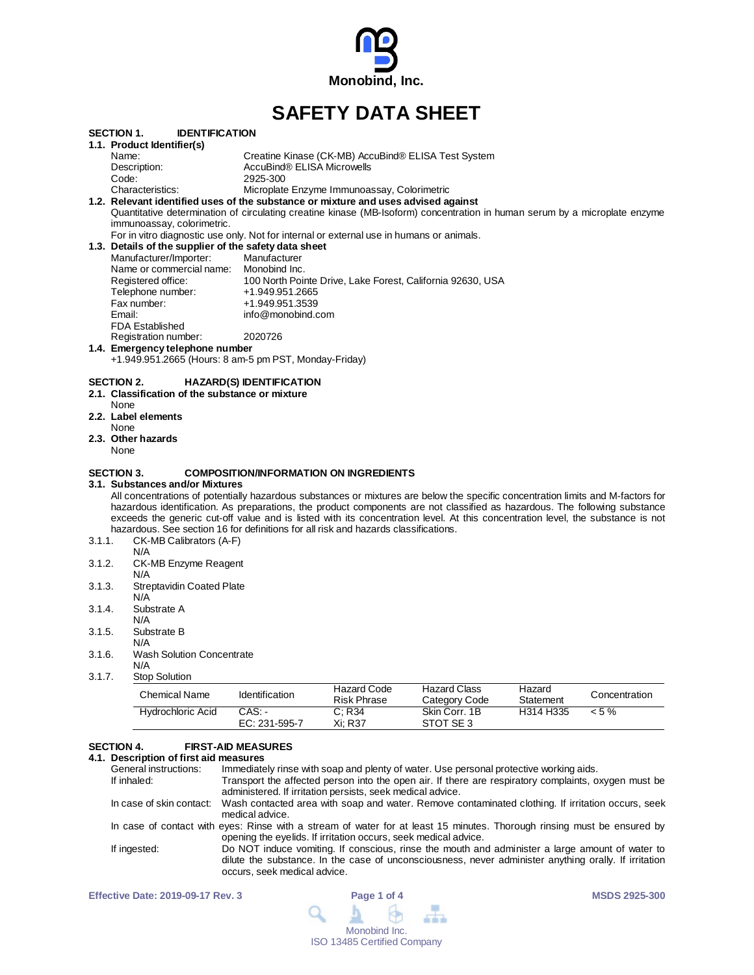

# **SAFETY DATA SHEET**

|        | <b>IDENTIFICATION</b><br>SECTION 1.                                                                         |                                                                                                                                  |
|--------|-------------------------------------------------------------------------------------------------------------|----------------------------------------------------------------------------------------------------------------------------------|
|        | 1.1. Product Identifier(s)                                                                                  |                                                                                                                                  |
|        | Name:                                                                                                       | Creatine Kinase (CK-MB) AccuBind® ELISA Test System                                                                              |
|        | Description:                                                                                                | AccuBind® ELISA Microwells                                                                                                       |
|        | Code:                                                                                                       | 2925-300                                                                                                                         |
|        | Characteristics:                                                                                            | Microplate Enzyme Immunoassay, Colorimetric                                                                                      |
|        |                                                                                                             | 1.2. Relevant identified uses of the substance or mixture and uses advised against                                               |
|        |                                                                                                             | Quantitative determination of circulating creatine kinase (MB-Isoform) concentration in human serum by a microplate enzyme       |
|        | immunoassay, colorimetric.                                                                                  |                                                                                                                                  |
|        |                                                                                                             | For in vitro diagnostic use only. Not for internal or external use in humans or animals.                                         |
|        | 1.3. Details of the supplier of the safety data sheet                                                       |                                                                                                                                  |
|        | Manufacturer/Importer:                                                                                      | Manufacturer                                                                                                                     |
|        | Name or commercial name: Monobind Inc.                                                                      |                                                                                                                                  |
|        | Registered office:                                                                                          | 100 North Pointe Drive, Lake Forest, California 92630, USA                                                                       |
|        | Telephone number:                                                                                           | +1.949.951.2665                                                                                                                  |
|        | Fax number:                                                                                                 | +1.949.951.3539                                                                                                                  |
|        | Email:                                                                                                      | info@monobind.com                                                                                                                |
|        | <b>FDA Established</b>                                                                                      |                                                                                                                                  |
|        | Registration number:                                                                                        | 2020726                                                                                                                          |
|        | 1.4. Emergency telephone number                                                                             |                                                                                                                                  |
|        |                                                                                                             | +1.949.951.2665 (Hours: 8 am-5 pm PST, Monday-Friday)                                                                            |
|        |                                                                                                             |                                                                                                                                  |
|        | <b>SECTION 2.</b><br>2.1. Classification of the substance or mixture<br>None<br>2.2. Label elements<br>None | <b>HAZARD(S) IDENTIFICATION</b>                                                                                                  |
|        | 2.3. Other hazards                                                                                          |                                                                                                                                  |
|        | None                                                                                                        |                                                                                                                                  |
|        |                                                                                                             |                                                                                                                                  |
|        | <b>SECTION 3.</b>                                                                                           | <b>COMPOSITION/INFORMATION ON INGREDIENTS</b>                                                                                    |
|        | 3.1.Substances and/or Mixtures                                                                              |                                                                                                                                  |
|        |                                                                                                             | All concentrations of potentially hazardous substances or mixtures are below the specific concentration limits and M-factors for |
|        |                                                                                                             | hazardous identification. As preparations, the product components are not classified as hazardous. The following substance       |
|        |                                                                                                             | exceeds the generic cut-off value and is listed with its concentration level. At this concentration level, the substance is not  |
|        |                                                                                                             | hazardous. See section 16 for definitions for all risk and hazards classifications.                                              |
| 3.1.1. | CK-MB Calibrators (A-F)                                                                                     |                                                                                                                                  |
|        | N/A                                                                                                         |                                                                                                                                  |
| 3.1.2. | CK-MB Enzyme Reagent                                                                                        |                                                                                                                                  |
|        | N/A                                                                                                         |                                                                                                                                  |
| 3.1.3. | <b>Streptavidin Coated Plate</b>                                                                            |                                                                                                                                  |
|        | N/A                                                                                                         |                                                                                                                                  |
| 3.1.4. | Substrate A                                                                                                 |                                                                                                                                  |
|        | N/A                                                                                                         |                                                                                                                                  |
| 3.1.5. | Substrate B                                                                                                 |                                                                                                                                  |
|        | N/A                                                                                                         |                                                                                                                                  |
| 3.1.6. | <b>Wash Solution Concentrate</b>                                                                            |                                                                                                                                  |
|        | N/A                                                                                                         |                                                                                                                                  |

3.1.7. Stop Solution

| Chemical Name     | <b>Identification</b>   | Hazard Code<br>Risk Phrase | Hazard Class<br>Category Code | Hazard<br>Statement | Concentration |
|-------------------|-------------------------|----------------------------|-------------------------------|---------------------|---------------|
| Hydrochloric Acid | CAS: -<br>EC: 231-595-7 | C: R34<br>Xi: R37          | Skin Corr. 1B<br>STOT SE3     | H314 H335           | $< 5 \%$      |

# **SECTION 4. FIRST-AID MEASURES**

# **4.1. Description of first aid measures**

| General instructions: | Immediately rinse with soap and plenty of water. Use personal protective working aids.                                                                                                                                                   |
|-----------------------|------------------------------------------------------------------------------------------------------------------------------------------------------------------------------------------------------------------------------------------|
| If inhaled:           | Transport the affected person into the open air. If there are respiratory complaints, oxygen must be<br>administered. If irritation persists, seek medical advice.                                                                       |
|                       | In case of skin contact: Wash contacted area with soap and water. Remove contaminated clothing. If irritation occurs, seek<br>medical advice.                                                                                            |
|                       | In case of contact with eyes: Rinse with a stream of water for at least 15 minutes. Thorough rinsing must be ensured by<br>opening the eyelids. If irritation occurs, seek medical advice.                                               |
| If ingested:          | Do NOT induce vomiting. If conscious, rinse the mouth and administer a large amount of water to<br>dilute the substance. In the case of unconsciousness, never administer anything orally. If irritation<br>occurs, seek medical advice. |

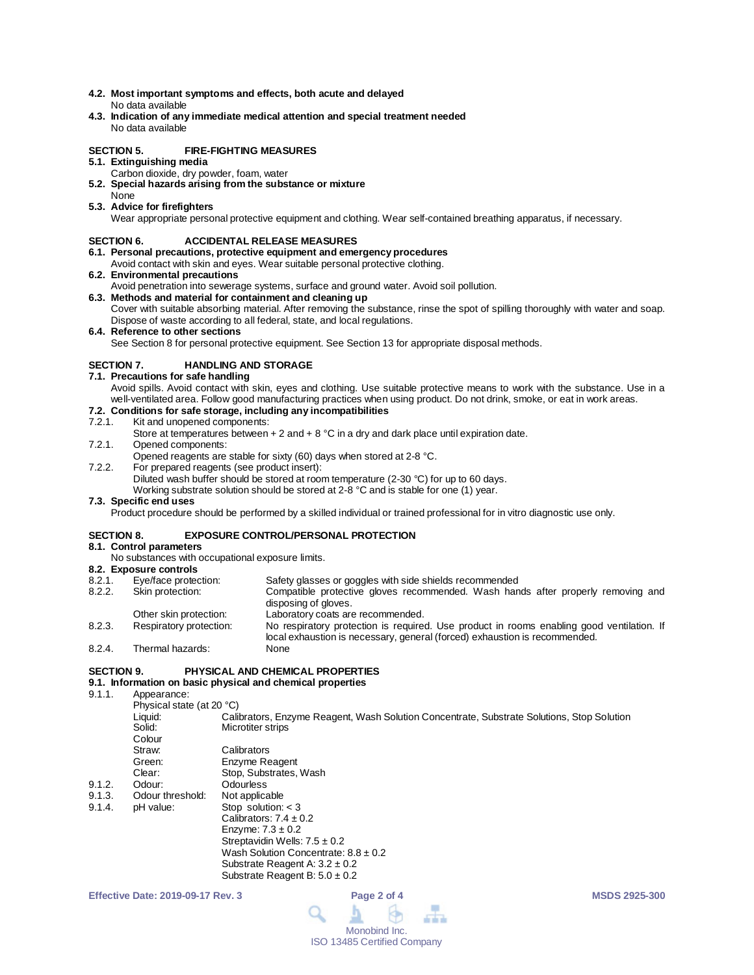- **4.2. Most important symptoms and effects, both acute and delayed** No data available
- **4.3. Indication of any immediate medical attention and special treatment needed** No data available

#### **SECTION 5. FIRE-FIGHTING MEASURES**

- **5.1. Extinguishing media**
	- Carbon dioxide, dry powder, foam, water
- **5.2. Special hazards arising from the substance or mixture** None
- **5.3. Advice for firefighters**

Wear appropriate personal protective equipment and clothing. Wear self-contained breathing apparatus, if necessary.

#### **SECTION 6. ACCIDENTAL RELEASE MEASURES**

- **6.1. Personal precautions, protective equipment and emergency procedures**
- Avoid contact with skin and eyes. Wear suitable personal protective clothing.
- **6.2. Environmental precautions**
- Avoid penetration into sewerage systems, surface and ground water. Avoid soil pollution.
- **6.3. Methods and material for containment and cleaning up** Cover with suitable absorbing material. After removing the substance, rinse the spot of spilling thoroughly with water and soap. Dispose of waste according to all federal, state, and local regulations.
- **6.4. Reference to other sections**

See Section 8 for personal protective equipment. See Section 13 for appropriate disposal methods.

#### **SECTION 7. HANDLING AND STORAGE**

- **7.1. Precautions for safe handling**
	- Avoid spills. Avoid contact with skin, eyes and clothing. Use suitable protective means to work with the substance. Use in a well-ventilated area. Follow good manufacturing practices when using product. Do not drink, smoke, or eat in work areas.

# **7.2. Conditions for safe storage, including any incompatibilities**

#### Kit and unopened components:

- Store at temperatures between  $+ 2$  and  $+ 8$  °C in a dry and dark place until expiration date.
- 7.2.1. Opened components:
- Opened reagents are stable for sixty (60) days when stored at 2-8 °C.
- 7.2.2. For prepared reagents (see product insert):
	- Diluted wash buffer should be stored at room temperature (2-30 °C) for up to 60 days.

Working substrate solution should be stored at 2-8 °C and is stable for one (1) year.

#### **7.3. Specific end uses**

Product procedure should be performed by a skilled individual or trained professional for in vitro diagnostic use only.

#### **SECTION 8. EXPOSURE CONTROL/PERSONAL PROTECTION**

#### **8.1. Control parameters**

No substances with occupational exposure limits.

## **8.2. Exposure controls**

| 8.2.1. | Eye/face protection:    | Safety glasses or goggles with side shields recommended                                                                                                                 |
|--------|-------------------------|-------------------------------------------------------------------------------------------------------------------------------------------------------------------------|
| 8.2.2. | Skin protection:        | Compatible protective gloves recommended. Wash hands after properly removing and<br>disposing of gloves.                                                                |
|        | Other skin protection:  | Laboratory coats are recommended.                                                                                                                                       |
| 8.2.3. | Respiratory protection: | No respiratory protection is required. Use product in rooms enabling good ventilation. If<br>local exhaustion is necessary, general (forced) exhaustion is recommended. |
| 8.2.4. | Thermal hazards:        | None                                                                                                                                                                    |

#### **SECTION 9. PHYSICAL AND CHEMICAL PROPERTIES**

## **9.1. Information on basic physical and chemical properties**

9.1.1 Appearance:

| .      | , www.uriou.              |                                                                                            |
|--------|---------------------------|--------------------------------------------------------------------------------------------|
|        | Physical state (at 20 °C) |                                                                                            |
|        | Liquid:                   | Calibrators, Enzyme Reagent, Wash Solution Concentrate, Substrate Solutions, Stop Solution |
|        | Solid:                    | Microtiter strips                                                                          |
|        | Colour                    |                                                                                            |
|        | Straw:                    | Calibrators                                                                                |
|        | Green:                    | Enzyme Reagent                                                                             |
|        | Clear:                    | Stop, Substrates, Wash                                                                     |
| 9.1.2. | Odour:                    | Odourless                                                                                  |
| 9.1.3. | Odour threshold:          | Not applicable                                                                             |
| 9.1.4. | pH value:                 | Stop solution: $<$ 3                                                                       |
|        |                           | Calibrators: $7.4 \pm 0.2$                                                                 |
|        |                           | Enzyme: $7.3 \pm 0.2$                                                                      |
|        |                           | Streptavidin Wells: $7.5 \pm 0.2$                                                          |
|        |                           | Wash Solution Concentrate: $8.8 \pm 0.2$                                                   |
|        |                           | Substrate Reagent A: $3.2 \pm 0.2$                                                         |
|        |                           | Substrate Reagent B: $5.0 \pm 0.2$                                                         |
|        |                           |                                                                                            |

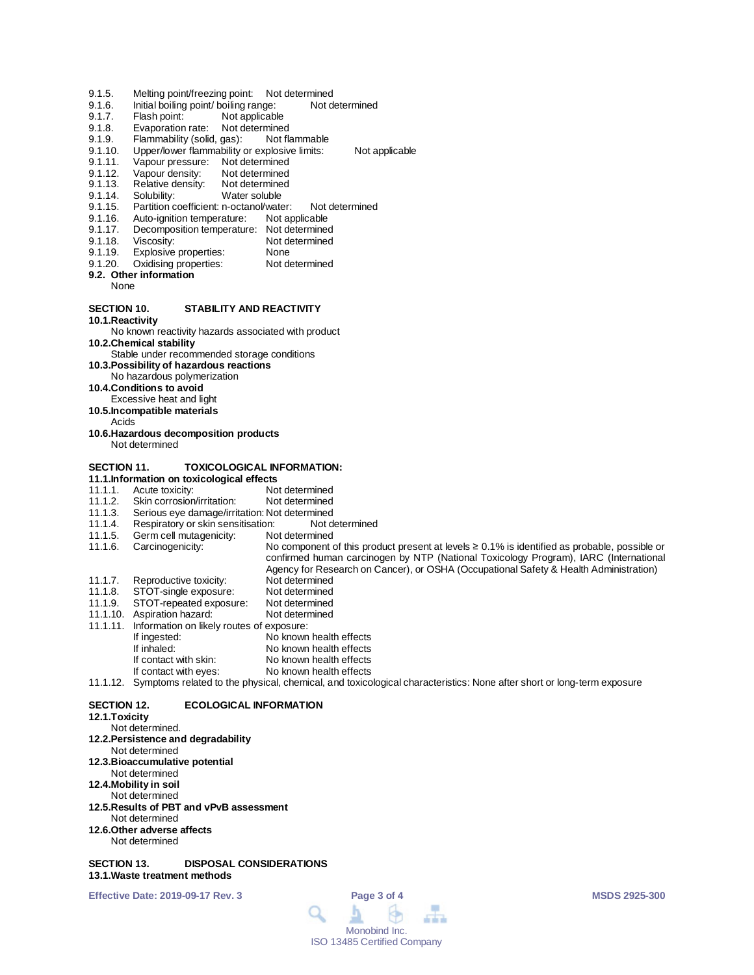- 9.1.5. Melting point/freezing point: Not determined<br>9.1.6. Initial boiling point/ boiling range: Not determined
- 9.1.6. Initial boiling point/ boiling range:<br>9.1.7. Flash point: Not applicable
- 9.1.7. Flash point: Not applicable<br>9.1.8. Evaporation rate: Not determine
- Evaporation rate: Not determined
- 9.1.9. Flammability (solid, gas): Not flammable<br>9.1.10. Upper/lower flammability or explosive limits:
- 9.1.10. Upper/lower flammability or explosive limits: Not applicable<br>9.1.11. Vapour pressure: Not determined
- 9.1.11. Vapour pressure: Not determined<br>9.1.12. Vapour density: Not determined
- Vapour density: Not determined<br>Relative density: Not determined
- 9.1.13. Relative density:<br>9.1.14. Solubility:
- 9.1.14. Solubility: Water soluble<br>9.1.15. Partition coefficient: n-octanol/wate
- 9.1.15. Partition coefficient: n-octanol/water: Not determined<br>9.1.16. Auto-ignition temperature: Not applicable
- 9.1.16. Auto-ignition temperature:<br>9.1.17. Decomposition temperature
- 9.1.17. Decomposition temperature: Not determined<br>9.1.18. Viscosity: Not determined
- 9.1.18. Viscosity: Not determined<br>9.1.19. Explosive properties: None
- 
- 9.1.19. Explosive properties: None<br>9.1.20. Oxidising properties: Not determined Oxidising properties:

#### **9.2. Other information**

None

#### **SECTION 10. STABILITY AND REACTIVITY**

**10.1.Reactivity**

# No known reactivity hazards associated with product

**10.2.Chemical stability**

- Stable under recommended storage conditions
- **10.3.Possibility of hazardous reactions**
- No hazardous polymerization
- **10.4.Conditions to avoid**
- Excessive heat and light
- **10.5.Incompatible materials**
- Acids
- **10.6.Hazardous decomposition products** Not determined
- 

#### **SECTION 11. TOXICOLOGICAL INFORMATION:**

**11.1.Information on toxicological effects**

- 11.1.1. Acute toxicity: Not determined<br>11.1.2. Skin corrosion/irritation: Not determined
- 11.1.2. Skin corrosion/irritation:<br>11.1.3. Serious eye damage/irrit
- 11.1.3. Serious eye damage/irritation: Not determined<br>11.1.4. Respiratory or skin sensitisation: Not determined
- 11.1.4. Respiratory or skin sensitisation: Not d<br>11.1.5. Germ cell mutagenicity: Not determined
- 11.1.5. Germ cell mutagenicity:<br>11.1.6. Carcinogenicity: No component of this product present at levels ≥ 0.1% is identified as probable, possible or
- 
- confirmed human carcinogen by NTP (National Toxicology Program), IARC (International
- Agency for Research on Cancer), or OSHA (Occupational Safety & Health Administration)
- 11.1.7. Reproductive toxicity: Not determined<br>11.1.8. STOT-single exposure: Not determined
- 11.1.8. STOT-single exposure: Not determined<br>11.1.9. STOT-repeated exposure: Not determined
- 11.1.9. STOT-repeated exposure: Not determined
- 11.1.10. Aspiration hazard: 11.1.11. Information on likely routes of exposure:
- If ingested: No known health effects<br>
If inhaled: No known health effects
- No known health effects
- If contact with skin: No known health effects<br>If contact with eyes: No known health effects
- No known health effects

# 11.1.12. Symptoms related to the physical, chemical, and toxicological characteristics: None after short or long-term exposure

## **SECTION 12. ECOLOGICAL INFORMATION**

#### **12.1.Toxicity**

- Not determined.
- **12.2.Persistence and degradability**
- Not determined
- **12.3.Bioaccumulative potential**
- Not determined
- **12.4.Mobility in soil**
- Not determined
- **12.5.Results of PBT and vPvB assessment** Not determined
- **12.6.Other adverse affects**
- Not determined

#### **SECTION 13. DISPOSAL CONSIDERATIONS 13.1.Waste treatment methods**